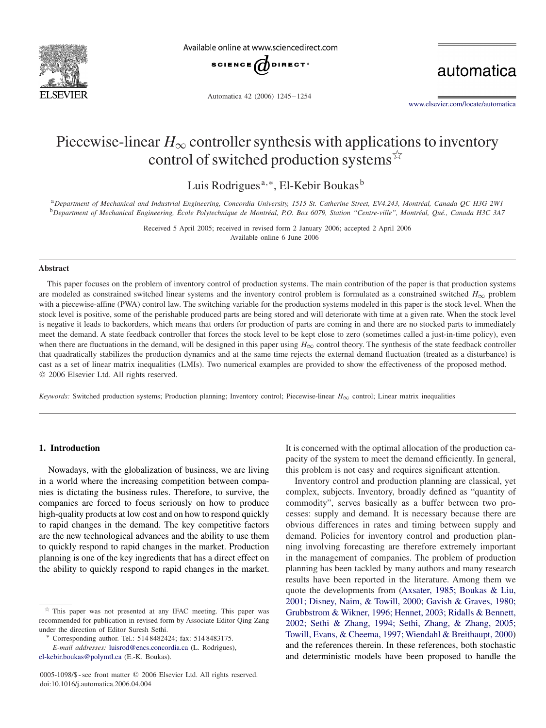

Available online at www.sciencedirect.com



automatica

Automatica 42 (2006) 1245 – 1254

[www.elsevier.com/locate/automatica](http://www.elsevier.com/locate/automatica)

## Piecewise-linear  $H_{\infty}$  controller synthesis with applications to inventory control of switched production systems  $\overrightarrow{x}$

Luis Rodrigues<sup>a</sup>*,*<sup>∗</sup>, El-Kebir Boukas<sup>b</sup>

<sup>a</sup>*Department of Mechanical and Industrial Engineering, Concordia University, 1515 St. Catherine Street, EV4.243, Montréal, Canada QC H3G 2W1* <sup>b</sup>*Department of Mechanical Engineering, École Polytechnique de Montréal, P.O. Box 6079, Station "Centre-ville", Montréal, Qué., Canada H3C 3A7*

> Received 5 April 2005; received in revised form 2 January 2006; accepted 2 April 2006 Available online 6 June 2006

### **Abstract**

This paper focuses on the problem of inventory control of production systems. The main contribution of the paper is that production systems are modeled as constrained switched linear systems and the inventory control problem is formulated as a constrained switched *H*∞ problem with a piecewise-affine (PWA) control law. The switching variable for the production systems modeled in this paper is the stock level. When the stock level is positive, some of the perishable produced parts are being stored and will deteriorate with time at a given rate. When the stock level is negative it leads to backorders, which means that orders for production of parts are coming in and there are no stocked parts to immediately meet the demand. A state feedback controller that forces the stock level to be kept close to zero (sometimes called a just-in-time policy), even when there are fluctuations in the demand, will be designed in this paper using *H*∞ control theory. The synthesis of the state feedback controller that quadratically stabilizes the production dynamics and at the same time rejects the external demand fluctuation (treated as a disturbance) is cast as a set of linear matrix inequalities (LMIs). Two numerical examples are provided to show the effectiveness of the proposed method.  $© 2006 Elsevier Ltd. All rights reserved.$ 

*Keywords:* Switched production systems; Production planning; Inventory control; Piecewise-linear *H*∞ control; Linear matrix inequalities

## **1. Introduction**

Nowadays, with the globalization of business, we are living in a world where the increasing competition between companies is dictating the business rules. Therefore, to survive, the companies are forced to focus seriously on how to produce high-quality products at low cost and on how to respond quickly to rapid changes in the demand. The key competitive factors are the new technological advances and the ability to use them to quickly respond to rapid changes in the market. Production planning is one of the key ingredients that has a direct effect on the ability to quickly respond to rapid changes in the market.

It is concerned with the optimal allocation of the production capacity of the system to meet the demand efficiently. In general, this problem is not easy and requires significant attention.

Inventory control and production planning are classical, yet complex, subjects. Inventory, broadly defined as "quantity of commodity", serves basically as a buffer between two processes: supply and demand. It is necessary because there are obvious differences in rates and timing between supply and demand. Policies for inventory control and production planning involving forecasting are therefore extremely important in the management of companies. The problem of production planning has been tackled by many authors and many research results have been reported in the literature. Among them we quote the developments from (Axsater, 1985; Boukas & Liu, 2001; Disney, Naim, & Towill, 2000; Gavish & Graves, 1980; Grubbstrom & Wikner, 1996; Hennet, 2003; Ridalls & Bennett, 2002; Sethi & Zhang, 1994; Sethi, Zhang, & Zhang, 2005; Towill, Evans, & Cheema, 1997; Wiendahl & Breithaupt, 2000) and the references therein. In these references, both stochastic and deterministic models have been proposed to handle the

 $\overrightarrow{r}$  This paper was not presented at any IFAC meeting. This paper was recommended for publication in revised form by Associate Editor Qing Zang under the direction of Editor Suresh Sethi. <sup>∗</sup> Corresponding author. Tel.: 514 8482424; fax: 514 8483175.

*E-mail addresses:* [luisrod@encs.concordia.ca](mailto:luisrod@encs.concordia.ca) (L. Rodrigues), [el-kebir.boukas@polymtl.ca](mailto:el-kebir.boukas@polymtl.ca) (E.-K. Boukas).

<sup>0005-1098/\$ -</sup> see front matter © 2006 Elsevier Ltd. All rights reserved. doi:10.1016/j.automatica.2006.04.004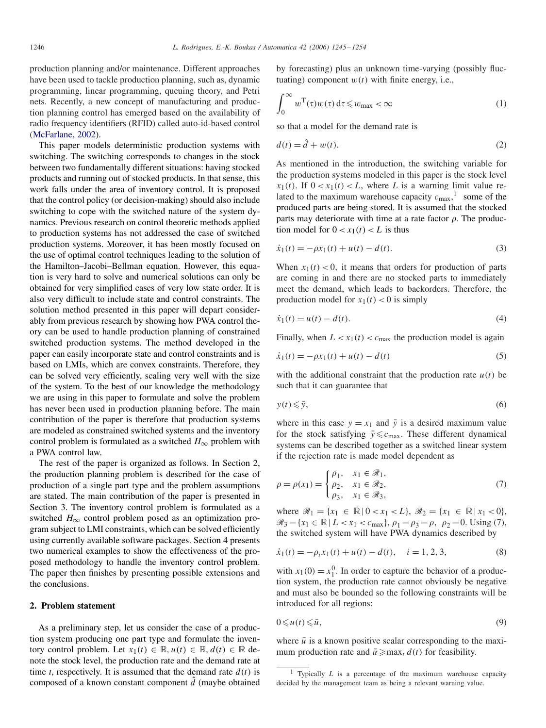production planning and/or maintenance. Different approaches have been used to tackle production planning, such as, dynamic programming, linear programming, queuing theory, and Petri nets. Recently, a new concept of manufacturing and production planning control has emerged based on the availability of radio frequency identifiers (RFID) called auto-id-based control [\(McFarlane, 2002\)](#page--1-0).

This paper models deterministic production systems with switching. The switching corresponds to changes in the stock between two fundamentally different situations: having stocked products and running out of stocked products. In that sense, this work falls under the area of inventory control. It is proposed that the control policy (or decision-making) should also include switching to cope with the switched nature of the system dynamics. Previous research on control theoretic methods applied to production systems has not addressed the case of switched production systems. Moreover, it has been mostly focused on the use of optimal control techniques leading to the solution of the Hamilton–Jacobi–Bellman equation. However, this equation is very hard to solve and numerical solutions can only be obtained for very simplified cases of very low state order. It is also very difficult to include state and control constraints. The solution method presented in this paper will depart considerably from previous research by showing how PWA control theory can be used to handle production planning of constrained switched production systems. The method developed in the paper can easily incorporate state and control constraints and is based on LMIs, which are convex constraints. Therefore, they can be solved very efficiently, scaling very well with the size of the system. To the best of our knowledge the methodology we are using in this paper to formulate and solve the problem has never been used in production planning before. The main contribution of the paper is therefore that production systems are modeled as constrained switched systems and the inventory control problem is formulated as a switched  $H_{\infty}$  problem with a PWA control law.

The rest of the paper is organized as follows. In Section 2, the production planning problem is described for the case of production of a single part type and the problem assumptions are stated. The main contribution of the paper is presented in Section 3. The inventory control problem is formulated as a switched  $H_{\infty}$  control problem posed as an optimization program subject to LMI constraints, which can be solved efficiently using currently available software packages. Section 4 presents two numerical examples to show the effectiveness of the proposed methodology to handle the inventory control problem. The paper then finishes by presenting possible extensions and the conclusions.

### **2. Problem statement**

As a preliminary step, let us consider the case of a production system producing one part type and formulate the inventory control problem. Let  $x_1(t) \in \mathbb{R}$ ,  $u(t) \in \mathbb{R}$ ,  $d(t) \in \mathbb{R}$  denote the stock level, the production rate and the demand rate at time *t*, respectively. It is assumed that the demand rate  $d(t)$  is composed of a known constant component  $\hat{d}$  (maybe obtained

by forecasting) plus an unknown time-varying (possibly fluctuating) component  $w(t)$  with finite energy, i.e.,

$$
\int_0^\infty w^\mathrm{T}(\tau)w(\tau)\,\mathrm{d}\tau \leqslant w_{\max} < \infty\tag{1}
$$

so that a model for the demand rate is

$$
d(t) = \hat{d} + w(t). \tag{2}
$$

As mentioned in the introduction, the switching variable for the production systems modeled in this paper is the stock level  $x_1(t)$ . If  $0 < x_1(t) < L$ , where *L* is a warning limit value related to the maximum warehouse capacity  $c_{\text{max}}$ ,<sup>1</sup> some of the produced parts are being stored. It is assumed that the stocked parts may deteriorate with time at a rate factor  $\rho$ . The production model for  $0 < x_1(t) < L$  is thus

$$
\dot{x}_1(t) = -\rho x_1(t) + u(t) - d(t). \tag{3}
$$

When  $x_1(t) < 0$ , it means that orders for production of parts are coming in and there are no stocked parts to immediately meet the demand, which leads to backorders. Therefore, the production model for  $x_1(t) < 0$  is simply

$$
\dot{x}_1(t) = u(t) - d(t). \tag{4}
$$

Finally, when  $L < x_1(t) < c_{\text{max}}$  the production model is again

$$
\dot{x}_1(t) = -\rho x_1(t) + u(t) - d(t) \tag{5}
$$

with the additional constraint that the production rate  $u(t)$  be such that it can guarantee that

$$
y(t) \leqslant \bar{y},\tag{6}
$$

where in this case  $y = x_1$  and  $\bar{y}$  is a desired maximum value for the stock satisfying  $\bar{y} \leq c_{\text{max}}$ . These different dynamical systems can be described together as a switched linear system if the rejection rate is made model dependent as

$$
\rho = \rho(x_1) = \begin{cases} \rho_1, & x_1 \in \mathcal{R}_1, \\ \rho_2, & x_1 \in \mathcal{R}_2, \\ \rho_3, & x_1 \in \mathcal{R}_3, \end{cases}
$$
(7)

where  $\mathcal{R}_1 = \{x_1 \in \mathbb{R} \mid 0 < x_1 < L\}, \mathcal{R}_2 = \{x_1 \in \mathbb{R} \mid x_1 < 0\},\$  $\mathscr{R}_3 = \{x_1 \in \mathbb{R} \mid L < x_1 < c_{\text{max}}\}, \rho_1 = \rho_3 = \rho, \ \rho_2 = 0.$  Using (7), the switched system will have PWA dynamics described by

$$
\dot{x}_1(t) = -\rho_i x_1(t) + u(t) - d(t), \quad i = 1, 2, 3,
$$
\n(8)

with  $x_1(0) = x_1^0$ . In order to capture the behavior of a production system, the production rate cannot obviously be negative and must also be bounded so the following constraints will be introduced for all regions:

$$
0 \leq u(t) \leq \bar{u},\tag{9}
$$

where  $\bar{u}$  is a known positive scalar corresponding to the maximum production rate and  $\bar{u} \ge \max_t d(t)$  for feasibility.

<sup>1</sup> Typically *L* is a percentage of the maximum warehouse capacity decided by the management team as being a relevant warning value.